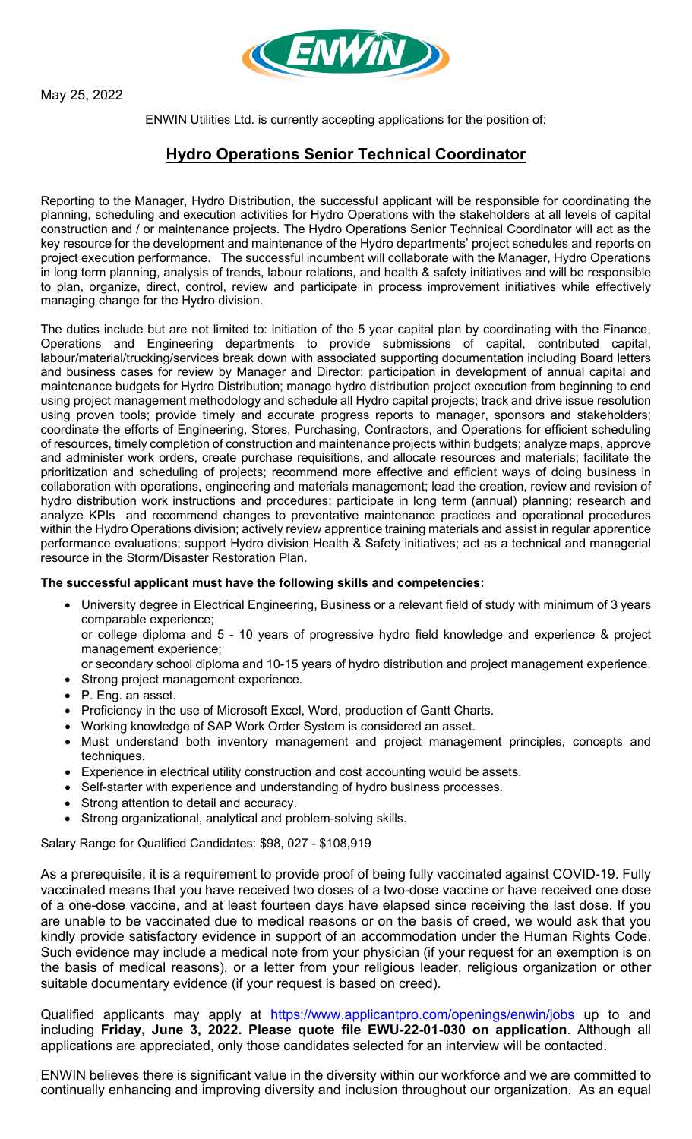

May 25, 2022

ENWIN Utilities Ltd. is currently accepting applications for the position of:

## **Hydro Operations Senior Technical Coordinator**

Reporting to the Manager, Hydro Distribution, the successful applicant will be responsible for coordinating the planning, scheduling and execution activities for Hydro Operations with the stakeholders at all levels of capital construction and / or maintenance projects. The Hydro Operations Senior Technical Coordinator will act as the key resource for the development and maintenance of the Hydro departments' project schedules and reports on project execution performance. The successful incumbent will collaborate with the Manager, Hydro Operations in long term planning, analysis of trends, labour relations, and health & safety initiatives and will be responsible to plan, organize, direct, control, review and participate in process improvement initiatives while effectively managing change for the Hydro division.

The duties include but are not limited to: initiation of the 5 year capital plan by coordinating with the Finance, Operations and Engineering departments to provide submissions of capital, contributed capital, labour/material/trucking/services break down with associated supporting documentation including Board letters and business cases for review by Manager and Director; participation in development of annual capital and maintenance budgets for Hydro Distribution; manage hydro distribution project execution from beginning to end using project management methodology and schedule all Hydro capital projects; track and drive issue resolution using proven tools; provide timely and accurate progress reports to manager, sponsors and stakeholders; coordinate the efforts of Engineering, Stores, Purchasing, Contractors, and Operations for efficient scheduling of resources, timely completion of construction and maintenance projects within budgets; analyze maps, approve and administer work orders, create purchase requisitions, and allocate resources and materials; facilitate the prioritization and scheduling of projects; recommend more effective and efficient ways of doing business in collaboration with operations, engineering and materials management; lead the creation, review and revision of hydro distribution work instructions and procedures; participate in long term (annual) planning; research and analyze KPIs and recommend changes to preventative maintenance practices and operational procedures within the Hydro Operations division; actively review apprentice training materials and assist in regular apprentice performance evaluations; support Hydro division Health & Safety initiatives; act as a technical and managerial resource in the Storm/Disaster Restoration Plan.

## **The successful applicant must have the following skills and competencies:**

• University degree in Electrical Engineering, Business or a relevant field of study with minimum of 3 years comparable experience;

or college diploma and 5 - 10 years of progressive hydro field knowledge and experience & project management experience;

- or secondary school diploma and 10-15 years of hydro distribution and project management experience.
- Strong project management experience.
- P. Eng. an asset.
- Proficiency in the use of Microsoft Excel, Word, production of Gantt Charts.
- Working knowledge of SAP Work Order System is considered an asset.
- Must understand both inventory management and project management principles, concepts and techniques.
- Experience in electrical utility construction and cost accounting would be assets.
- Self-starter with experience and understanding of hydro business processes.
- Strong attention to detail and accuracy.
- Strong organizational, analytical and problem-solving skills.

Salary Range for Qualified Candidates: \$98, 027 - \$108,919

As a prerequisite, it is a requirement to provide proof of being fully vaccinated against COVID-19. Fully vaccinated means that you have received two doses of a two-dose vaccine or have received one dose of a one-dose vaccine, and at least fourteen days have elapsed since receiving the last dose. If you are unable to be vaccinated due to medical reasons or on the basis of creed, we would ask that you kindly provide satisfactory evidence in support of an accommodation under the Human Rights Code. Such evidence may include a medical note from your physician (if your request for an exemption is on the basis of medical reasons), or a letter from your religious leader, religious organization or other suitable documentary evidence (if your request is based on creed).

Qualified applicants may apply at https://www.applicantpro.com/openings/enwin/jobs up to and including **Friday, June 3, 2022. Please quote file EWU-22-01-030 on application**. Although all applications are appreciated, only those candidates selected for an interview will be contacted.

ENWIN believes there is significant value in the diversity within our workforce and we are committed to continually enhancing and improving diversity and inclusion throughout our organization. As an equal